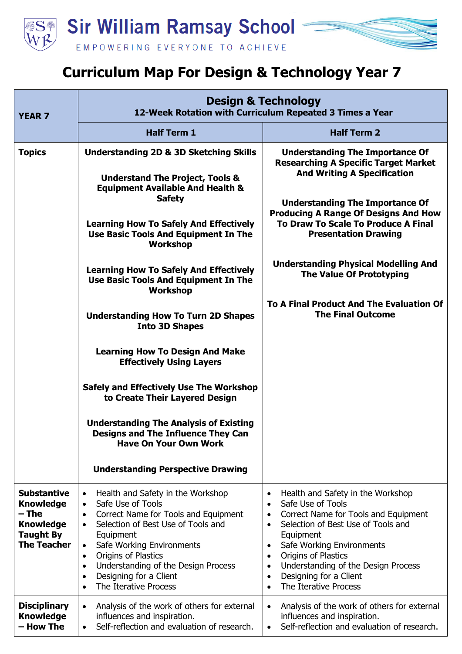

## **Curriculum Map For Design & Technology Year 7**

| <b>YEAR 7</b>                                                                                                 | <b>Design &amp; Technology</b><br>12-Week Rotation with Curriculum Repeated 3 Times a Year                                                                                                                                                                                                                                                                                                              |                                                                                                                                                                                                                                                                                                                                                                                                                      |
|---------------------------------------------------------------------------------------------------------------|---------------------------------------------------------------------------------------------------------------------------------------------------------------------------------------------------------------------------------------------------------------------------------------------------------------------------------------------------------------------------------------------------------|----------------------------------------------------------------------------------------------------------------------------------------------------------------------------------------------------------------------------------------------------------------------------------------------------------------------------------------------------------------------------------------------------------------------|
|                                                                                                               | <b>Half Term 1</b>                                                                                                                                                                                                                                                                                                                                                                                      | <b>Half Term 2</b>                                                                                                                                                                                                                                                                                                                                                                                                   |
| <b>Topics</b>                                                                                                 | <b>Understanding 2D &amp; 3D Sketching Skills</b><br><b>Understand The Project, Tools &amp;</b><br><b>Equipment Available And Health &amp;</b><br><b>Safety</b><br><b>Learning How To Safely And Effectively</b><br>Use Basic Tools And Equipment In The<br><b>Workshop</b>                                                                                                                             | <b>Understanding The Importance Of</b><br><b>Researching A Specific Target Market</b><br><b>And Writing A Specification</b><br><b>Understanding The Importance Of</b><br><b>Producing A Range Of Designs And How</b><br><b>To Draw To Scale To Produce A Final</b><br><b>Presentation Drawing</b>                                                                                                                    |
|                                                                                                               | <b>Learning How To Safely And Effectively</b><br>Use Basic Tools And Equipment In The<br><b>Workshop</b>                                                                                                                                                                                                                                                                                                | <b>Understanding Physical Modelling And</b><br><b>The Value Of Prototyping</b>                                                                                                                                                                                                                                                                                                                                       |
|                                                                                                               | <b>Understanding How To Turn 2D Shapes</b><br><b>Into 3D Shapes</b>                                                                                                                                                                                                                                                                                                                                     | To A Final Product And The Evaluation Of<br><b>The Final Outcome</b>                                                                                                                                                                                                                                                                                                                                                 |
|                                                                                                               | <b>Learning How To Design And Make</b><br><b>Effectively Using Layers</b>                                                                                                                                                                                                                                                                                                                               |                                                                                                                                                                                                                                                                                                                                                                                                                      |
|                                                                                                               | <b>Safely and Effectively Use The Workshop</b><br>to Create Their Layered Design                                                                                                                                                                                                                                                                                                                        |                                                                                                                                                                                                                                                                                                                                                                                                                      |
|                                                                                                               | <b>Understanding The Analysis of Existing</b><br><b>Designs and The Influence They Can</b><br><b>Have On Your Own Work</b>                                                                                                                                                                                                                                                                              |                                                                                                                                                                                                                                                                                                                                                                                                                      |
|                                                                                                               | <b>Understanding Perspective Drawing</b>                                                                                                                                                                                                                                                                                                                                                                |                                                                                                                                                                                                                                                                                                                                                                                                                      |
| <b>Substantive</b><br><b>Knowledge</b><br>– The<br><b>Knowledge</b><br><b>Taught By</b><br><b>The Teacher</b> | Health and Safety in the Workshop<br>$\bullet$<br>Safe Use of Tools<br>$\bullet$<br>Correct Name for Tools and Equipment<br>$\bullet$<br>Selection of Best Use of Tools and<br>$\bullet$<br>Equipment<br>Safe Working Environments<br>$\bullet$<br>Origins of Plastics<br>$\bullet$<br>Understanding of the Design Process<br>$\bullet$<br>Designing for a Client<br>$\bullet$<br>The Iterative Process | Health and Safety in the Workshop<br>$\bullet$<br>Safe Use of Tools<br>$\bullet$<br>Correct Name for Tools and Equipment<br>$\bullet$<br>Selection of Best Use of Tools and<br>$\bullet$<br>Equipment<br>Safe Working Environments<br>$\bullet$<br>Origins of Plastics<br>$\bullet$<br>Understanding of the Design Process<br>$\bullet$<br>Designing for a Client<br>$\bullet$<br>The Iterative Process<br>$\bullet$ |
| <b>Disciplinary</b><br><b>Knowledge</b><br>- How The                                                          | Analysis of the work of others for external<br>$\bullet$<br>influences and inspiration.<br>Self-reflection and evaluation of research.<br>$\bullet$                                                                                                                                                                                                                                                     | Analysis of the work of others for external<br>$\bullet$<br>influences and inspiration.<br>Self-reflection and evaluation of research.<br>$\bullet$                                                                                                                                                                                                                                                                  |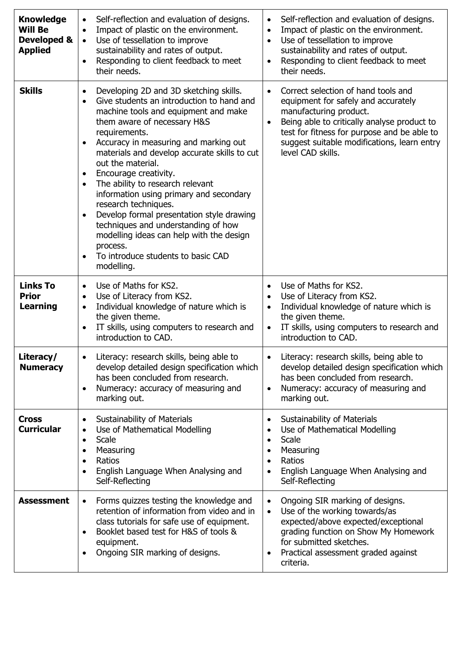| <b>Knowledge</b><br><b>Will Be</b><br>Developed &<br><b>Applied</b> | Self-reflection and evaluation of designs.<br>$\bullet$<br>Impact of plastic on the environment.<br>$\bullet$<br>Use of tessellation to improve<br>$\bullet$<br>sustainability and rates of output.<br>Responding to client feedback to meet<br>their needs.                                                                                                                                                                                                                                                                                                                                                                                                                       | Self-reflection and evaluation of designs.<br>$\bullet$<br>Impact of plastic on the environment.<br>$\bullet$<br>Use of tessellation to improve<br>$\bullet$<br>sustainability and rates of output.<br>Responding to client feedback to meet<br>$\bullet$<br>their needs.           |
|---------------------------------------------------------------------|------------------------------------------------------------------------------------------------------------------------------------------------------------------------------------------------------------------------------------------------------------------------------------------------------------------------------------------------------------------------------------------------------------------------------------------------------------------------------------------------------------------------------------------------------------------------------------------------------------------------------------------------------------------------------------|-------------------------------------------------------------------------------------------------------------------------------------------------------------------------------------------------------------------------------------------------------------------------------------|
| <b>Skills</b>                                                       | Developing 2D and 3D sketching skills.<br>$\bullet$<br>Give students an introduction to hand and<br>$\bullet$<br>machine tools and equipment and make<br>them aware of necessary H&S<br>requirements.<br>Accuracy in measuring and marking out<br>$\bullet$<br>materials and develop accurate skills to cut<br>out the material.<br>Encourage creativity.<br>٠<br>The ability to research relevant<br>$\bullet$<br>information using primary and secondary<br>research techniques.<br>Develop formal presentation style drawing<br>techniques and understanding of how<br>modelling ideas can help with the design<br>process.<br>To introduce students to basic CAD<br>modelling. | Correct selection of hand tools and<br>$\bullet$<br>equipment for safely and accurately<br>manufacturing product.<br>Being able to critically analyse product to<br>test for fitness for purpose and be able to<br>suggest suitable modifications, learn entry<br>level CAD skills. |
| <b>Links To</b><br><b>Prior</b><br><b>Learning</b>                  | Use of Maths for KS2.<br>$\bullet$<br>Use of Literacy from KS2.<br>$\bullet$<br>Individual knowledge of nature which is<br>$\bullet$<br>the given theme.<br>IT skills, using computers to research and<br>introduction to CAD.                                                                                                                                                                                                                                                                                                                                                                                                                                                     | Use of Maths for KS2.<br>$\bullet$<br>Use of Literacy from KS2.<br>$\bullet$<br>Individual knowledge of nature which is<br>$\bullet$<br>the given theme.<br>IT skills, using computers to research and<br>$\bullet$<br>introduction to CAD.                                         |
| Literacy/<br><b>Numeracy</b>                                        | Literacy: research skills, being able to<br>$\bullet$<br>develop detailed design specification which<br>has been concluded from research.<br>Numeracy: accuracy of measuring and<br>marking out.                                                                                                                                                                                                                                                                                                                                                                                                                                                                                   | Literacy: research skills, being able to<br>develop detailed design specification which<br>has been concluded from research.<br>Numeracy: accuracy of measuring and<br>marking out.                                                                                                 |
| <b>Cross</b><br><b>Curricular</b>                                   | Sustainability of Materials<br>$\bullet$<br>Use of Mathematical Modelling<br>$\bullet$<br>Scale<br>$\bullet$<br>Measuring<br>$\bullet$<br>Ratios<br>$\bullet$<br>English Language When Analysing and<br>Self-Reflecting                                                                                                                                                                                                                                                                                                                                                                                                                                                            | <b>Sustainability of Materials</b><br>$\bullet$<br>Use of Mathematical Modelling<br>Scale<br>Measuring<br>Ratios<br>English Language When Analysing and<br>Self-Reflecting                                                                                                          |
| <b>Assessment</b>                                                   | Forms quizzes testing the knowledge and<br>$\bullet$<br>retention of information from video and in<br>class tutorials for safe use of equipment.<br>Booklet based test for H&S of tools &<br>equipment.<br>Ongoing SIR marking of designs.<br>٠                                                                                                                                                                                                                                                                                                                                                                                                                                    | Ongoing SIR marking of designs.<br>$\bullet$<br>Use of the working towards/as<br>$\bullet$<br>expected/above expected/exceptional<br>grading function on Show My Homework<br>for submitted sketches.<br>Practical assessment graded against<br>criteria.                            |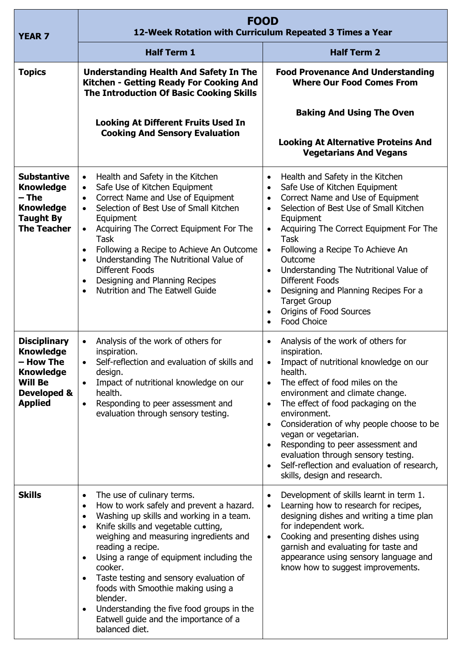| <b>YEAR 7</b>                                                                                                               | <b>FOOD</b><br>12-Week Rotation with Curriculum Repeated 3 Times a Year                                                                                                                                                                                                                                                                                                                                                                                                                                                                               |                                                                                                                                                                                                                                                                                                                                                                                                                                                                                                                                                                          |
|-----------------------------------------------------------------------------------------------------------------------------|-------------------------------------------------------------------------------------------------------------------------------------------------------------------------------------------------------------------------------------------------------------------------------------------------------------------------------------------------------------------------------------------------------------------------------------------------------------------------------------------------------------------------------------------------------|--------------------------------------------------------------------------------------------------------------------------------------------------------------------------------------------------------------------------------------------------------------------------------------------------------------------------------------------------------------------------------------------------------------------------------------------------------------------------------------------------------------------------------------------------------------------------|
|                                                                                                                             | <b>Half Term 1</b>                                                                                                                                                                                                                                                                                                                                                                                                                                                                                                                                    | <b>Half Term 2</b>                                                                                                                                                                                                                                                                                                                                                                                                                                                                                                                                                       |
| <b>Topics</b>                                                                                                               | <b>Understanding Health And Safety In The</b><br>Kitchen - Getting Ready For Cooking And<br><b>The Introduction Of Basic Cooking Skills</b>                                                                                                                                                                                                                                                                                                                                                                                                           | <b>Food Provenance And Understanding</b><br><b>Where Our Food Comes From</b>                                                                                                                                                                                                                                                                                                                                                                                                                                                                                             |
|                                                                                                                             | <b>Looking At Different Fruits Used In</b><br><b>Cooking And Sensory Evaluation</b>                                                                                                                                                                                                                                                                                                                                                                                                                                                                   | <b>Baking And Using The Oven</b><br><b>Looking At Alternative Proteins And</b><br><b>Vegetarians And Vegans</b>                                                                                                                                                                                                                                                                                                                                                                                                                                                          |
| <b>Substantive</b><br><b>Knowledge</b><br>– The<br><b>Knowledge</b><br><b>Taught By</b><br><b>The Teacher</b>               | Health and Safety in the Kitchen<br>$\bullet$<br>Safe Use of Kitchen Equipment<br>$\bullet$<br>Correct Name and Use of Equipment<br>$\bullet$<br>Selection of Best Use of Small Kitchen<br>$\bullet$<br>Equipment<br>Acquiring The Correct Equipment For The<br>$\bullet$<br><b>Task</b><br>Following a Recipe to Achieve An Outcome<br>$\bullet$<br>Understanding The Nutritional Value of<br>$\bullet$<br>Different Foods<br>Designing and Planning Recipes<br>$\bullet$<br>Nutrition and The Eatwell Guide<br>$\bullet$                            | Health and Safety in the Kitchen<br>$\bullet$<br>Safe Use of Kitchen Equipment<br>$\bullet$<br>Correct Name and Use of Equipment<br>$\bullet$<br>Selection of Best Use of Small Kitchen<br>Equipment<br>Acquiring The Correct Equipment For The<br>$\bullet$<br><b>Task</b><br>Following a Recipe To Achieve An<br>$\bullet$<br>Outcome<br>Understanding The Nutritional Value of<br>$\bullet$<br><b>Different Foods</b><br>Designing and Planning Recipes For a<br>$\bullet$<br><b>Target Group</b><br>Origins of Food Sources<br>$\bullet$<br>Food Choice<br>$\bullet$ |
| <b>Disciplinary</b><br><b>Knowledge</b><br>- How The<br><b>Knowledge</b><br><b>Will Be</b><br>Developed &<br><b>Applied</b> | Analysis of the work of others for<br>inspiration.<br>Self-reflection and evaluation of skills and<br>design.<br>Impact of nutritional knowledge on our<br>$\bullet$<br>health.<br>Responding to peer assessment and<br>$\bullet$<br>evaluation through sensory testing.                                                                                                                                                                                                                                                                              | Analysis of the work of others for<br>$\bullet$<br>inspiration.<br>Impact of nutritional knowledge on our<br>health.<br>The effect of food miles on the<br>$\bullet$<br>environment and climate change.<br>The effect of food packaging on the<br>$\bullet$<br>environment.<br>Consideration of why people choose to be<br>$\bullet$<br>vegan or vegetarian.<br>Responding to peer assessment and<br>$\bullet$<br>evaluation through sensory testing.<br>Self-reflection and evaluation of research,<br>$\bullet$<br>skills, design and research.                        |
| <b>Skills</b>                                                                                                               | The use of culinary terms.<br>$\bullet$<br>How to work safely and prevent a hazard.<br>$\bullet$<br>Washing up skills and working in a team.<br>$\bullet$<br>Knife skills and vegetable cutting,<br>$\bullet$<br>weighing and measuring ingredients and<br>reading a recipe.<br>Using a range of equipment including the<br>$\bullet$<br>cooker.<br>Taste testing and sensory evaluation of<br>foods with Smoothie making using a<br>blender.<br>Understanding the five food groups in the<br>Eatwell guide and the importance of a<br>balanced diet. | Development of skills learnt in term 1.<br>$\bullet$<br>Learning how to research for recipes,<br>$\bullet$<br>designing dishes and writing a time plan<br>for independent work.<br>Cooking and presenting dishes using<br>$\bullet$<br>garnish and evaluating for taste and<br>appearance using sensory language and<br>know how to suggest improvements.                                                                                                                                                                                                                |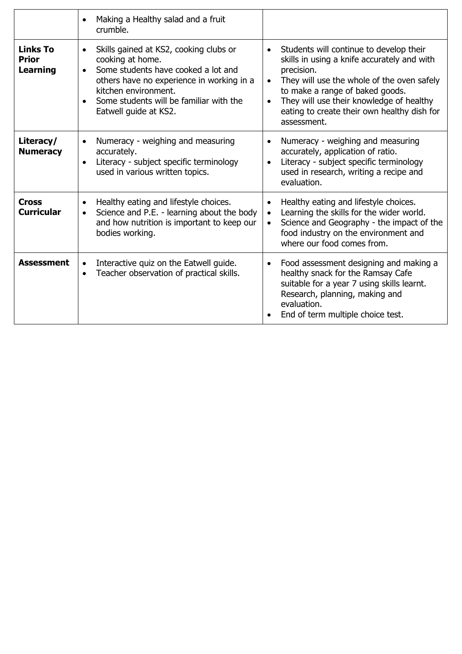|                                                    | Making a Healthy salad and a fruit<br>$\bullet$<br>crumble.                                                                                                                                                                                                          |                                                                                                                                                                                                                                                                                                                           |
|----------------------------------------------------|----------------------------------------------------------------------------------------------------------------------------------------------------------------------------------------------------------------------------------------------------------------------|---------------------------------------------------------------------------------------------------------------------------------------------------------------------------------------------------------------------------------------------------------------------------------------------------------------------------|
| <b>Links To</b><br><b>Prior</b><br><b>Learning</b> | Skills gained at KS2, cooking clubs or<br>$\bullet$<br>cooking at home.<br>Some students have cooked a lot and<br>$\bullet$<br>others have no experience in working in a<br>kitchen environment.<br>Some students will be familiar with the<br>Eatwell guide at KS2. | Students will continue to develop their<br>$\bullet$<br>skills in using a knife accurately and with<br>precision.<br>They will use the whole of the oven safely<br>to make a range of baked goods.<br>They will use their knowledge of healthy<br>$\bullet$<br>eating to create their own healthy dish for<br>assessment. |
| Literacy/<br><b>Numeracy</b>                       | Numeracy - weighing and measuring<br>$\bullet$<br>accurately.<br>Literacy - subject specific terminology<br>$\bullet$<br>used in various written topics.                                                                                                             | Numeracy - weighing and measuring<br>$\bullet$<br>accurately, application of ratio.<br>Literacy - subject specific terminology<br>used in research, writing a recipe and<br>evaluation.                                                                                                                                   |
| <b>Cross</b><br><b>Curricular</b>                  | Healthy eating and lifestyle choices.<br>$\bullet$<br>Science and P.E. - learning about the body<br>$\bullet$<br>and how nutrition is important to keep our<br>bodies working.                                                                                       | Healthy eating and lifestyle choices.<br>$\bullet$<br>Learning the skills for the wider world.<br>$\bullet$<br>Science and Geography - the impact of the<br>$\bullet$<br>food industry on the environment and<br>where our food comes from.                                                                               |
| <b>Assessment</b>                                  | Interactive quiz on the Eatwell guide.<br>$\bullet$<br>Teacher observation of practical skills.<br>$\bullet$                                                                                                                                                         | Food assessment designing and making a<br>$\bullet$<br>healthy snack for the Ramsay Cafe<br>suitable for a year 7 using skills learnt.<br>Research, planning, making and<br>evaluation.<br>End of term multiple choice test.                                                                                              |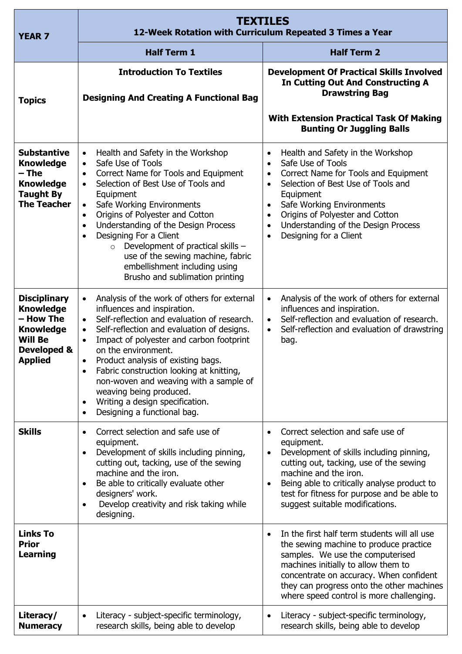| <b>YEAR 7</b>                                                                                                               | <b>TEXTILES</b><br>12-Week Rotation with Curriculum Repeated 3 Times a Year                                                                                                                                                                                                                                                                                                                                                                                                                                                                       |                                                                                                                                                                                                                                                                                                                                                                               |
|-----------------------------------------------------------------------------------------------------------------------------|---------------------------------------------------------------------------------------------------------------------------------------------------------------------------------------------------------------------------------------------------------------------------------------------------------------------------------------------------------------------------------------------------------------------------------------------------------------------------------------------------------------------------------------------------|-------------------------------------------------------------------------------------------------------------------------------------------------------------------------------------------------------------------------------------------------------------------------------------------------------------------------------------------------------------------------------|
|                                                                                                                             | <b>Half Term 1</b>                                                                                                                                                                                                                                                                                                                                                                                                                                                                                                                                | <b>Half Term 2</b>                                                                                                                                                                                                                                                                                                                                                            |
| <b>Topics</b>                                                                                                               | <b>Introduction To Textiles</b><br><b>Designing And Creating A Functional Bag</b>                                                                                                                                                                                                                                                                                                                                                                                                                                                                 | <b>Development Of Practical Skills Involved</b><br><b>In Cutting Out And Constructing A</b><br><b>Drawstring Bag</b><br><b>With Extension Practical Task Of Making</b><br><b>Bunting Or Juggling Balls</b>                                                                                                                                                                    |
| <b>Substantive</b><br><b>Knowledge</b><br>– The<br><b>Knowledge</b><br><b>Taught By</b><br><b>The Teacher</b>               | Health and Safety in the Workshop<br>$\bullet$<br>Safe Use of Tools<br>$\bullet$<br>Correct Name for Tools and Equipment<br>Selection of Best Use of Tools and<br>$\bullet$<br>Equipment<br>Safe Working Environments<br>$\bullet$<br>Origins of Polyester and Cotton<br>$\bullet$<br>Understanding of the Design Process<br>$\bullet$<br>Designing For a Client<br>$\bullet$<br>Development of practical skills -<br>$\circ$<br>use of the sewing machine, fabric<br>embellishment including using<br>Brusho and sublimation printing            | Health and Safety in the Workshop<br>$\bullet$<br>Safe Use of Tools<br>$\bullet$<br>Correct Name for Tools and Equipment<br>Selection of Best Use of Tools and<br>$\bullet$<br>Equipment<br>Safe Working Environments<br>$\bullet$<br>Origins of Polyester and Cotton<br>$\bullet$<br>Understanding of the Design Process<br>$\bullet$<br>Designing for a Client<br>$\bullet$ |
| <b>Disciplinary</b><br><b>Knowledge</b><br>- How The<br><b>Knowledge</b><br><b>Will Be</b><br>Developed &<br><b>Applied</b> | Analysis of the work of others for external<br>$\bullet$<br>influences and inspiration.<br>Self-reflection and evaluation of research.<br>$\bullet$<br>Self-reflection and evaluation of designs.<br>$\bullet$<br>Impact of polyester and carbon footprint<br>$\bullet$<br>on the environment.<br>Product analysis of existing bags.<br>Fabric construction looking at knitting,<br>$\bullet$<br>non-woven and weaving with a sample of<br>weaving being produced.<br>Writing a design specification.<br>Designing a functional bag.<br>$\bullet$ | Analysis of the work of others for external<br>$\bullet$<br>influences and inspiration.<br>Self-reflection and evaluation of research.<br>$\bullet$<br>Self-reflection and evaluation of drawstring<br>$\bullet$<br>bag.                                                                                                                                                      |
| <b>Skills</b>                                                                                                               | Correct selection and safe use of<br>$\bullet$<br>equipment.<br>Development of skills including pinning,<br>$\bullet$<br>cutting out, tacking, use of the sewing<br>machine and the iron.<br>Be able to critically evaluate other<br>designers' work.<br>Develop creativity and risk taking while<br>designing.                                                                                                                                                                                                                                   | Correct selection and safe use of<br>$\bullet$<br>equipment.<br>Development of skills including pinning,<br>$\bullet$<br>cutting out, tacking, use of the sewing<br>machine and the iron.<br>Being able to critically analyse product to<br>$\bullet$<br>test for fitness for purpose and be able to<br>suggest suitable modifications.                                       |
| <b>Links To</b><br><b>Prior</b><br><b>Learning</b>                                                                          |                                                                                                                                                                                                                                                                                                                                                                                                                                                                                                                                                   | In the first half term students will all use<br>$\bullet$<br>the sewing machine to produce practice<br>samples. We use the computerised<br>machines initially to allow them to<br>concentrate on accuracy. When confident<br>they can progress onto the other machines<br>where speed control is more challenging.                                                            |
| Literacy/<br><b>Numeracy</b>                                                                                                | Literacy - subject-specific terminology,<br>research skills, being able to develop                                                                                                                                                                                                                                                                                                                                                                                                                                                                | Literacy - subject-specific terminology,<br>research skills, being able to develop                                                                                                                                                                                                                                                                                            |